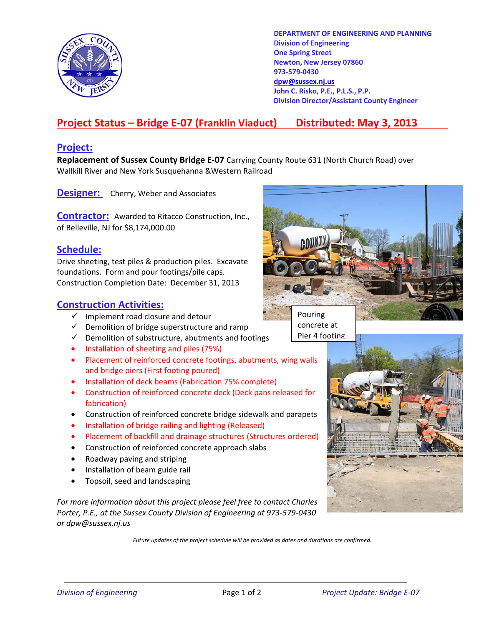

**DEPARTMENT OF ENGINEERING AND PLANNING Division of Engineering One Spring Street Newton, New Jersey 07860 973-579-0430 dpw@sussex.nj.us John C. Risko, P.E., P.L.S., P.P. Division Director/Assistant County Engineer** 

## **Project Status – Bridge E-07 (Franklin Viaduct) Distributed: May 3, 2013**

## **Project:**

**Replacement of Sussex County Bridge E-07** Carrying County Route 631 (North Church Road) over Wallkill River and New York Susquehanna &Western Railroad

**Designer:** Cherry, Weber and Associates

**Contractor:** Awarded to Ritacco Construction, Inc., of Belleville, NJ for \$8,174,000.00

## **Schedule:**

Drive sheeting, test piles & production piles. Excavate foundations. Form and pour footings/pile caps. Construction Completion Date: December 31, 2013

## **Construction Activities:**

- $\checkmark$  Implement road closure and detour
- $\checkmark$  Demolition of bridge superstructure and ramp
- $\checkmark$  Demolition of substructure, abutments and footings
- Installation of sheeting and piles (75%)
- Placement of reinforced concrete footings, abutments, wing walls and bridge piers (First footing poured)
- Installation of deck beams (Fabrication 75% complete)
- Construction of reinforced concrete deck (Deck pans released for fabrication)
- Construction of reinforced concrete bridge sidewalk and parapets
- Installation of bridge railing and lighting (Released)
- Placement of backfill and drainage structures (Structures ordered)
- Construction of reinforced concrete approach slabs
- Roadway paving and striping
- Installation of beam guide rail
- Topsoil, seed and landscaping

*For more information about this project please feel free to contact Charles Porter, P.E., at the Sussex County Division of Engineering at 973-579-0430 or dpw@sussex.nj.us* 

*Future updates of the project schedule will be provided as dates and durations are confirmed.*